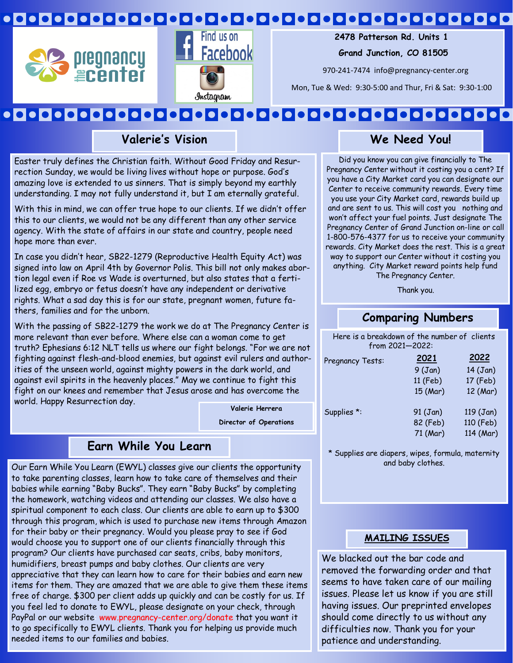## 





 **2478 Patterson Rd. Units 1**

 **Grand Junction, CO 81505**

970-241-7474 info@pregnancy-center.org

Mon, Tue & Wed: 9:30-5:00 and Thur, Fri & Sat: 9:30-1:00

#### 000000000000000000 IOI  $\bullet$   $\bullet$   $\bullet$   $\bullet$   $\bullet$   $\bullet$

**Valerie's Vision**

Easter truly defines the Christian faith. Without Good Friday and Resurrection Sunday, we would be living lives without hope or purpose. God's amazing love is extended to us sinners. That is simply beyond my earthly understanding. I may not fully understand it, but I am eternally grateful.

With this in mind, we can offer true hope to our clients. If we didn't offer this to our clients, we would not be any different than any other service agency. With the state of affairs in our state and country, people need hope more than ever.

In case you didn't hear, SB22-1279 (Reproductive Health Equity Act) was signed into law on April 4th by Governor Polis. This bill not only makes abortion legal even if Roe vs Wade is overturned, but also states that a fertilized egg, embryo or fetus doesn't have any independent or derivative rights. What a sad day this is for our state, pregnant women, future fathers, families and for the unborn.

With the passing of SB22-1279 the work we do at The Pregnancy Center is more relevant than ever before. Where else can a woman come to get truth? Ephesians 6:12 NLT tells us where our fight belongs. "For we are not fighting against flesh-and-blood enemies, but against evil rulers and authorities of the unseen world, against mighty powers in the dark world, and against evil spirits in the heavenly places." May we continue to fight this fight on our knees and remember that Jesus arose and has overcome the world. Happy Resurrection day.

**Valerie Herrera Director of Operations**

### **Earn While You Learn**

Our Earn While You Learn (EWYL) classes give our clients the opportunity to take parenting classes, learn how to take care of themselves and their babies while earning "Baby Bucks". They earn "Baby Bucks" by completing the homework, watching videos and attending our classes. We also have a spiritual component to each class. Our clients are able to earn up to \$300 through this program, which is used to purchase new items through Amazon for their baby or their pregnancy. Would you please pray to see if God would choose you to support one of our clients financially through this program? Our clients have purchased car seats, cribs, baby monitors, humidifiers, breast pumps and baby clothes. Our clients are very appreciative that they can learn how to care for their babies and earn new items for them. They are amazed that we are able to give them these items free of charge. \$300 per client adds up quickly and can be costly for us. If you feel led to donate to EWYL, please designate on your check, through PayPal or our website: www.pregnancy-center.org/donate that you want it to go specifically to EWYL clients. Thank you for helping us provide much needed items to our families and babies.

### **We Need You!**

Did you know you can give financially to The Pregnancy Center without it costing you a cent? If you have a City Market card you can designate our Center to receive community rewards. Every time you use your City Market card, rewards build up and are sent to us. This will cost you nothing and won't affect your fuel points. Just designate The Pregnancy Center of Grand Junction on-line or call 1-800-576-4377 for us to receive your community rewards. City Market does the rest. This is a great way to support our Center without it costing you anything. City Market reward points help fund The Pregnancy Center.

Thank you.

### **Comparing Numbers**

Here is a breakdown of the number of clients from 2021—2022:

| 2021     | 2022       |
|----------|------------|
| 9(Jan)   | $14$ (Jan) |
| 11 (Feb) | 17 (Feb)   |
| 15 (Mar) | 12 (Mar)   |
| 91 (Jan) | 119 (Jan)  |
| 82 (Feb) | 110 (Feb)  |
| 71 (Mar) | 114 (Mar)  |
|          |            |

\* Supplies are diapers, wipes, formula, maternity and baby clothes.

### **MAILING ISSUES**

We blacked out the bar code and removed the forwarding order and that seems to have taken care of our mailing issues. Please let us know if you are still having issues. Our preprinted envelopes should come directly to us without any difficulties now. Thank you for your patience and understanding.